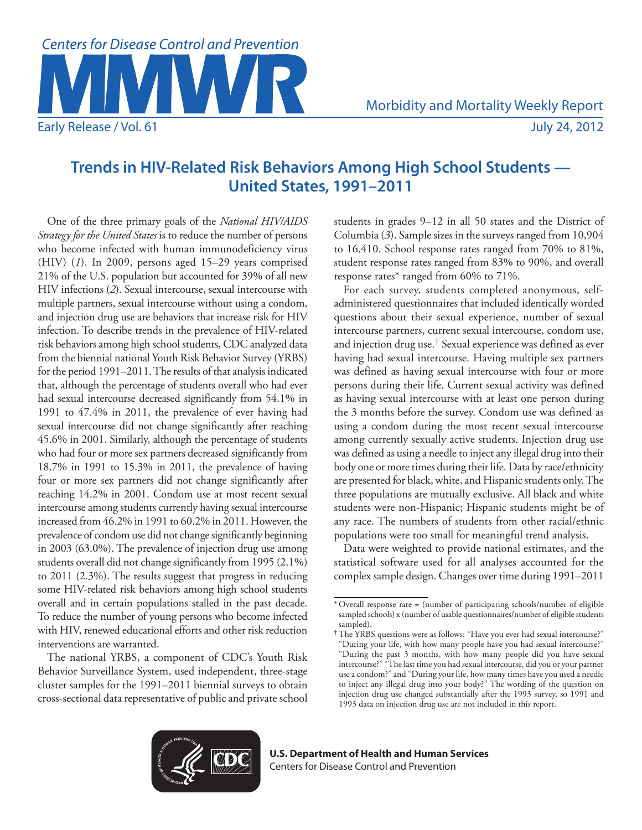

# **Trends in HIV-Related Risk Behaviors Among High School Students — United States, 1991–2011**

One of the three primary goals of the *National HIV/AIDS Strategy for the United States* is to reduce the number of persons who become infected with human immunodeficiency virus (HIV) (*1*). In 2009, persons aged 15–29 years comprised 21% of the U.S. population but accounted for 39% of all new HIV infections (*2*). Sexual intercourse, sexual intercourse with multiple partners, sexual intercourse without using a condom, and injection drug use are behaviors that increase risk for HIV infection. To describe trends in the prevalence of HIV-related risk behaviors among high school students, CDC analyzed data from the biennial national Youth Risk Behavior Survey (YRBS) for the period 1991–2011. The results of that analysis indicated that, although the percentage of students overall who had ever had sexual intercourse decreased significantly from 54.1% in 1991 to 47.4% in 2011, the prevalence of ever having had sexual intercourse did not change significantly after reaching 45.6% in 2001. Similarly, although the percentage of students who had four or more sex partners decreased significantly from 18.7% in 1991 to 15.3% in 2011, the prevalence of having four or more sex partners did not change significantly after reaching 14.2% in 2001. Condom use at most recent sexual intercourse among students currently having sexual intercourse increased from 46.2% in 1991 to 60.2% in 2011. However, the prevalence of condom use did not change significantly beginning in 2003 (63.0%). The prevalence of injection drug use among students overall did not change significantly from 1995 (2.1%) to 2011 (2.3%). The results suggest that progress in reducing some HIV-related risk behaviors among high school students overall and in certain populations stalled in the past decade. To reduce the number of young persons who become infected with HIV, renewed educational efforts and other risk reduction interventions are warranted.

The national YRBS, a component of CDC's Youth Risk Behavior Surveillance System, used independent, three-stage cluster samples for the 1991–2011 biennial surveys to obtain cross-sectional data representative of public and private school students in grades 9–12 in all 50 states and the District of Columbia (*3*). Sample sizes in the surveys ranged from 10,904 to 16,410. School response rates ranged from 70% to 81%, student response rates ranged from 83% to 90%, and overall response rates\* ranged from 60% to 71%.

For each survey, students completed anonymous, selfadministered questionnaires that included identically worded questions about their sexual experience, number of sexual intercourse partners, current sexual intercourse, condom use, and injection drug use.† Sexual experience was defined as ever having had sexual intercourse. Having multiple sex partners was defined as having sexual intercourse with four or more persons during their life. Current sexual activity was defined as having sexual intercourse with at least one person during the 3 months before the survey. Condom use was defined as using a condom during the most recent sexual intercourse among currently sexually active students. Injection drug use was defined as using a needle to inject any illegal drug into their body one or more times during their life. Data by race/ethnicity are presented for black, white, and Hispanic students only. The three populations are mutually exclusive. All black and white students were non-Hispanic; Hispanic students might be of any race. The numbers of students from other racial/ethnic populations were too small for meaningful trend analysis.

Data were weighted to provide national estimates, and the statistical software used for all analyses accounted for the complex sample design. Changes over time during 1991–2011



<sup>\*</sup>Overall response rate = (number of participating schools/number of eligible sampled schools) x (number of usable questionnaires/number of eligible students sampled).

<sup>†</sup>The YRBS questions were as follows: "Have you ever had sexual intercourse?" "During your life, with how many people have you had sexual intercourse?"

<sup>&</sup>quot;During the past 3 months, with how many people did you have sexual intercourse?" "The last time you had sexual intercourse, did you or your partner use a condom?" and "During your life, how many times have you used a needle to inject any illegal drug into your body?" The wording of the question on injection drug use changed substantially after the 1993 survey, so 1991 and 1993 data on injection drug use are not included in this report.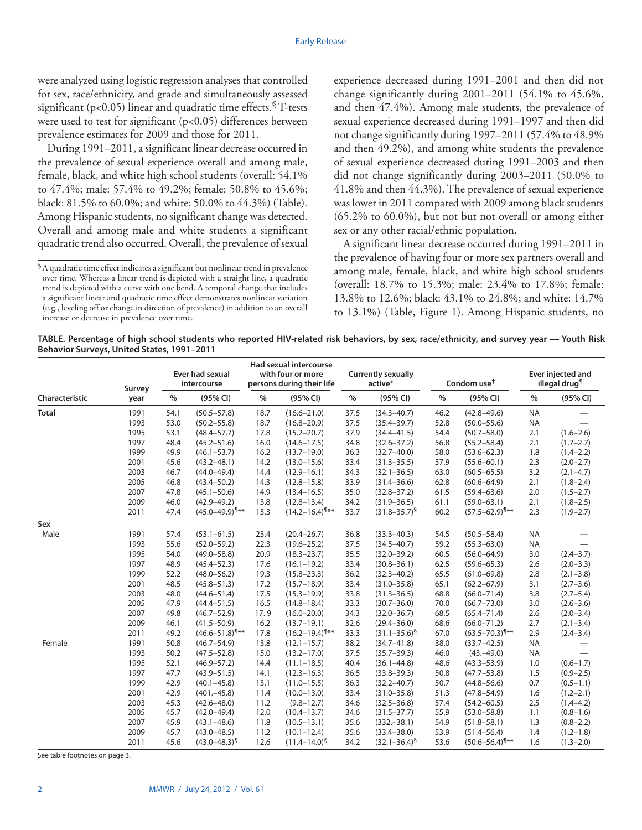were analyzed using logistic regression analyses that controlled for sex, race/ethnicity, and grade and simultaneously assessed significant ( $p<0.05$ ) linear and quadratic time effects.  $\sqrt{T}$ -tests were used to test for significant (p<0.05) differences between prevalence estimates for 2009 and those for 2011.

During 1991–2011, a significant linear decrease occurred in the prevalence of sexual experience overall and among male, female, black, and white high school students (overall: 54.1% to 47.4%; male: 57.4% to 49.2%; female: 50.8% to 45.6%; black: 81.5% to 60.0%; and white: 50.0% to 44.3%) (Table). Among Hispanic students, no significant change was detected. Overall and among male and white students a significant quadratic trend also occurred. Overall, the prevalence of sexual experience decreased during 1991–2001 and then did not change significantly during 2001–2011 (54.1% to 45.6%, and then 47.4%). Among male students, the prevalence of sexual experience decreased during 1991–1997 and then did not change significantly during 1997–2011 (57.4% to 48.9% and then 49.2%), and among white students the prevalence of sexual experience decreased during 1991–2003 and then did not change significantly during 2003–2011 (50.0% to 41.8% and then 44.3%). The prevalence of sexual experience was lower in 2011 compared with 2009 among black students (65.2% to 60.0%), but not but not overall or among either sex or any other racial/ethnic population.

A significant linear decrease occurred during 1991–2011 in the prevalence of having four or more sex partners overall and among male, female, black, and white high school students (overall: 18.7% to 15.3%; male: 23.4% to 17.8%; female: 13.8% to 12.6%; black: 43.1% to 24.8%; and white: 14.7% to 13.1%) (Table, Figure 1). Among Hispanic students, no

**TABLE. Percentage of high school students who reported HIV-related risk behaviors, by sex, race/ethnicity, and survey year — Youth Risk Behavior Surveys, United States, 1991–2011**

| Survey         |      | Ever had sexual<br>intercourse |                               | <b>Had sexual intercourse</b><br>with four or more<br>persons during their life |                                | <b>Currently sexually</b><br>active* |                     | Condom use <sup>t</sup> |                                | <b>Ever injected and</b><br>illegal drug <sup>¶</sup> |                          |
|----------------|------|--------------------------------|-------------------------------|---------------------------------------------------------------------------------|--------------------------------|--------------------------------------|---------------------|-------------------------|--------------------------------|-------------------------------------------------------|--------------------------|
| Characteristic | year | $\%$                           | (95% CI)                      | $\frac{0}{0}$                                                                   | (95% CI)                       | $\%$                                 | (95% CI)            | $\%$                    | (95% CI)                       | $\frac{0}{0}$                                         | (95% CI)                 |
| <b>Total</b>   | 1991 | 54.1                           | $(50.5 - 57.8)$               | 18.7                                                                            | $(16.6 - 21.0)$                | 37.5                                 | $(34.3 - 40.7)$     | 46.2                    | $(42.8 - 49.6)$                | <b>NA</b>                                             | $\overline{\phantom{0}}$ |
|                | 1993 | 53.0                           | $(50.2 - 55.8)$               | 18.7                                                                            | $(16.8 - 20.9)$                | 37.5                                 | $(35.4 - 39.7)$     | 52.8                    | $(50.0 - 55.6)$                | <b>NA</b>                                             |                          |
|                | 1995 | 53.1                           | $(48.4 - 57.7)$               | 17.8                                                                            | $(15.2 - 20.7)$                | 37.9                                 | $(34.4 - 41.5)$     | 54.4                    | $(50.7 - 58.0)$                | 2.1                                                   | $(1.6 - 2.6)$            |
|                | 1997 | 48.4                           | $(45.2 - 51.6)$               | 16.0                                                                            | $(14.6 - 17.5)$                | 34.8                                 | $(32.6 - 37.2)$     | 56.8                    | $(55.2 - 58.4)$                | 2.1                                                   | $(1.7 - 2.7)$            |
|                | 1999 | 49.9                           | $(46.1 - 53.7)$               | 16.2                                                                            | $(13.7 - 19.0)$                | 36.3                                 | $(32.7 - 40.0)$     | 58.0                    | $(53.6 - 62.3)$                | 1.8                                                   | $(1.4 - 2.2)$            |
|                | 2001 | 45.6                           | $(43.2 - 48.1)$               | 14.2                                                                            | $(13.0 - 15.6)$                | 33.4                                 | $(31.3 - 35.5)$     | 57.9                    | $(55.6 - 60.1)$                | 2.3                                                   | $(2.0 - 2.7)$            |
|                | 2003 | 46.7                           | $(44.0 - 49.4)$               | 14.4                                                                            | $(12.9 - 16.1)$                | 34.3                                 | $(32.1 - 36.5)$     | 63.0                    | $(60.5 - 65.5)$                | 3.2                                                   | $(2.1 - 4.7)$            |
|                | 2005 | 46.8                           | $(43.4 - 50.2)$               | 14.3                                                                            | $(12.8 - 15.8)$                | 33.9                                 | $(31.4 - 36.6)$     | 62.8                    | $(60.6 - 64.9)$                | 2.1                                                   | $(1.8 - 2.4)$            |
|                | 2007 | 47.8                           | $(45.1 - 50.6)$               | 14.9                                                                            | $(13.4 - 16.5)$                | 35.0                                 | $(32.8 - 37.2)$     | 61.5                    | $(59.4 - 63.6)$                | 2.0                                                   | $(1.5 - 2.7)$            |
|                | 2009 | 46.0                           | $(42.9 - 49.2)$               | 13.8                                                                            | $(12.8 - 13.4)$                | 34.2                                 | $(31.9 - 36.5)$     | 61.1                    | $(59.0 - 63.1)$                | 2.1                                                   | $(1.8 - 2.5)$            |
|                | 2011 | 47.4                           | $(45.0 - 49.9)^{\frac{1}{x}}$ | 15.3                                                                            | $(14.2 - 16.4)^{\frac{1}{x}}$  | 33.7                                 | $(31.8 - 35.7)^{9}$ | 60.2                    | $(57.5 - 62.9)^{\frac{1}{x}}$  | 2.3                                                   | $(1.9 - 2.7)$            |
| Sex            |      |                                |                               |                                                                                 |                                |                                      |                     |                         |                                |                                                       |                          |
| Male           | 1991 | 57.4                           | $(53.1 - 61.5)$               | 23.4                                                                            | $(20.4 - 26.7)$                | 36.8                                 | $(33.3 - 40.3)$     | 54.5                    | $(50.5 - 58.4)$                | <b>NA</b>                                             |                          |
|                | 1993 | 55.6                           | $(52.0 - 59.2)$               | 22.3                                                                            | $(19.6 - 25.2)$                | 37.5                                 | $(34.5 - 40.7)$     | 59.2                    | $(55.3 - 63.0)$                | <b>NA</b>                                             |                          |
|                | 1995 | 54.0                           | $(49.0 - 58.8)$               | 20.9                                                                            | $(18.3 - 23.7)$                | 35.5                                 | $(32.0 - 39.2)$     | 60.5                    | $(56.0 - 64.9)$                | 3.0                                                   | $(2.4 - 3.7)$            |
|                | 1997 | 48.9                           | $(45.4 - 52.3)$               | 17.6                                                                            | $(16.1 - 19.2)$                | 33.4                                 | $(30.8 - 36.1)$     | 62.5                    | $(59.6 - 65.3)$                | 2.6                                                   | $(2.0 - 3.3)$            |
|                | 1999 | 52.2                           | $(48.0 - 56.2)$               | 19.3                                                                            | $(15.8 - 23.3)$                | 36.2                                 | $(32.3 - 40.2)$     | 65.5                    | $(61.0 - 69.8)$                | 2.8                                                   | $(2.1 - 3.8)$            |
|                | 2001 | 48.5                           | $(45.8 - 51.3)$               | 17.2                                                                            | $(15.7 - 18.9)$                | 33.4                                 | $(31.0 - 35.8)$     | 65.1                    | $(62.2 - 67.9)$                | 3.1                                                   | $(2.7 - 3.6)$            |
|                | 2003 | 48.0                           | $(44.6 - 51.4)$               | 17.5                                                                            | $(15.3 - 19.9)$                | 33.8                                 | $(31.3 - 36.5)$     | 68.8                    | $(66.0 - 71.4)$                | 3.8                                                   | $(2.7 - 5.4)$            |
|                | 2005 | 47.9                           | $(44.4 - 51.5)$               | 16.5                                                                            | $(14.8 - 18.4)$                | 33.3                                 | $(30.7 - 36.0)$     | 70.0                    | $(66.7 - 73.0)$                | 3.0                                                   | $(2.6 - 3.6)$            |
|                | 2007 | 49.8                           | $(46.7 - 52.9)$               | 17.9                                                                            | $(16.0 - 20.0)$                | 34.3                                 | $(32.0 - 36.7)$     | 68.5                    | $(65.4 - 71.4)$                | 2.6                                                   | $(2.0 - 3.4)$            |
|                | 2009 | 46.1                           | $(41.5 - 50.9)$               | 16.2                                                                            | $(13.7 - 19.1)$                | 32.6                                 | $(29.4 - 36.0)$     | 68.6                    | $(66.0 - 71.2)$                | 2.7                                                   | $(2.1 - 3.4)$            |
|                | 2011 | 49.2                           | $(46.6 - 51.8)^{\frac{4}{x}}$ | 17.8                                                                            | $(16.2 - 19.4)^{\frac{4}{14}}$ | 33.3                                 | $(31.1 - 35.6)^{9}$ | 67.0                    | $(63.5 - 70.3)^{\frac{1}{x}}$  | 2.9                                                   | $(2.4 - 3.4)$            |
| Female         | 1991 | 50.8                           | $(46.7 - 54.9)$               | 13.8                                                                            | $(12.1 - 15.7)$                | 38.2                                 | $(34.7 - 41.8)$     | 38.0                    | $(33.7 - 42.5)$                | <b>NA</b>                                             |                          |
|                | 1993 | 50.2                           | $(47.5 - 52.8)$               | 15.0                                                                            | $(13.2 - 17.0)$                | 37.5                                 | $(35.7 - 39.3)$     | 46.0                    | $(43,-49.0)$                   | <b>NA</b>                                             |                          |
|                | 1995 | 52.1                           | $(46.9 - 57.2)$               | 14.4                                                                            | $(11.1 - 18.5)$                | 40.4                                 | $(36.1 - 44.8)$     | 48.6                    | $(43.3 - 53.9)$                | 1.0                                                   | $(0.6 - 1.7)$            |
|                | 1997 | 47.7                           | $(43.9 - 51.5)$               | 14.1                                                                            | $(12.3 - 16.3)$                | 36.5                                 | $(33.8 - 39.3)$     | 50.8                    | $(47.7 - 53.8)$                | 1.5                                                   | $(0.9 - 2.5)$            |
|                | 1999 | 42.9                           | $(40.1 - 45.8)$               | 13.1                                                                            | $(11.0 - 15.5)$                | 36.3                                 | $(32.2 - 40.7)$     | 50.7                    | $(44.8 - 56.6)$                | 0.7                                                   | $(0.5 - 1.1)$            |
|                | 2001 | 42.9                           | $(401,-45.8)$                 | 11.4                                                                            | $(10.0 - 13.0)$                | 33.4                                 | $(31.0 - 35.8)$     | 51.3                    | $(47.8 - 54.9)$                | 1.6                                                   | $(1.2 - 2.1)$            |
|                | 2003 | 45.3                           | $(42.6 - 48.0)$               | 11.2                                                                            | $(9.8 - 12.7)$                 | 34.6                                 | $(32.5 - 36.8)$     | 57.4                    | $(54.2 - 60.5)$                | 2.5                                                   | $(1.4 - 4.2)$            |
|                | 2005 | 45.7                           | $(42.0 - 49.4)$               | 12.0                                                                            | $(10.4 - 13.7)$                | 34.6                                 | $(31.5 - 37.7)$     | 55.9                    | $(53.0 - 58.8)$                | 1.1                                                   | $(0.8 - 1.6)$            |
|                | 2007 | 45.9                           | $(43.1 - 48.6)$               | 11.8                                                                            | $(10.5 - 13.1)$                | 35.6                                 | $(332,-38.1)$       | 54.9                    | $(51.8 - 58.1)$                | 1.3                                                   | $(0.8 - 2.2)$            |
|                | 2009 | 45.7                           | $(43.0 - 48.5)$               | 11.2                                                                            | $(10.1 - 12.4)$                | 35.6                                 | $(33.4 - 38.0)$     | 53.9                    | $(51.4 - 56.4)$                | 1.4                                                   | $(1.2 - 1.8)$            |
|                | 2011 | 45.6                           | $(43.0 - 48.3)^{5}$           | 12.6                                                                            | $(11.4 - 14.0)^{5}$            | 34.2                                 | $(32.1 - 36.4)^5$   | 53.6                    | $(50.6 - 56.4)^{\frac{6}{14}}$ | 1.6                                                   | $(1.3 - 2.0)$            |

See table footnotes on page 3.

<sup>§</sup>A quadratic time effect indicates a significant but nonlinear trend in prevalence over time. Whereas a linear trend is depicted with a straight line, a quadratic trend is depicted with a curve with one bend. A temporal change that includes a significant linear and quadratic time effect demonstrates nonlinear variation (e.g., leveling off or change in direction of prevalence) in addition to an overall increase or decrease in prevalence over time.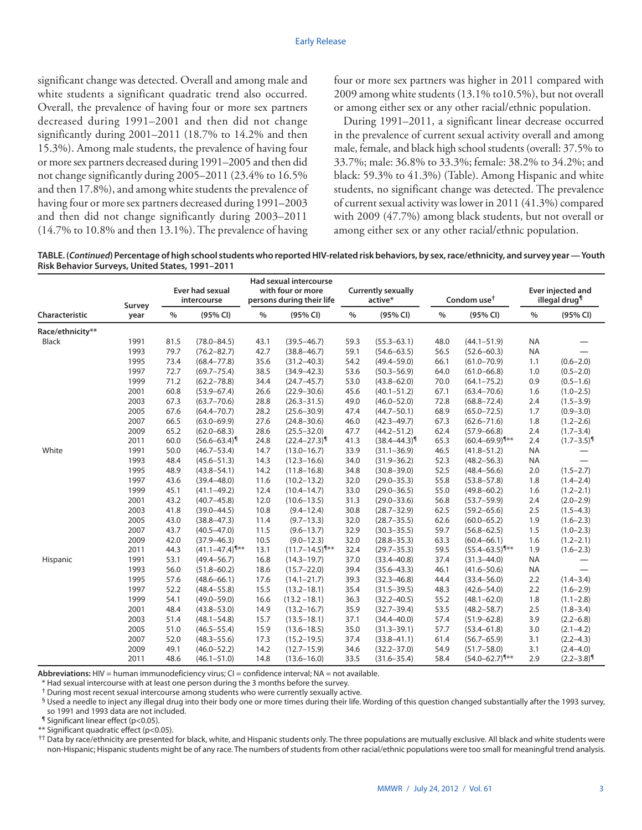significant change was detected. Overall and among male and white students a significant quadratic trend also occurred. Overall, the prevalence of having four or more sex partners decreased during 1991–2001 and then did not change significantly during 2001–2011 (18.7% to 14.2% and then 15.3%). Among male students, the prevalence of having four or more sex partners decreased during 1991–2005 and then did not change significantly during 2005–2011 (23.4% to 16.5% and then 17.8%), and among white students the prevalence of having four or more sex partners decreased during 1991–2003 and then did not change significantly during 2003–2011 (14.7% to 10.8% and then 13.1%). The prevalence of having

four or more sex partners was higher in 2011 compared with 2009 among white students (13.1% to10.5%), but not overall or among either sex or any other racial/ethnic population.

During 1991–2011, a significant linear decrease occurred in the prevalence of current sexual activity overall and among male, female, and black high school students (overall: 37.5% to 33.7%; male: 36.8% to 33.3%; female: 38.2% to 34.2%; and black: 59.3% to 41.3%) (Table). Among Hispanic and white students, no significant change was detected. The prevalence of current sexual activity was lower in 2011 (41.3%) compared with 2009 (47.7%) among black students, but not overall or among either sex or any other racial/ethnic population.

**TABLE. (***Continued***) Percentage of high school students who reported HIV-related risk behaviors, by sex, race/ethnicity, and survey year — Youth Risk Behavior Surveys, United States, 1991–2011**

|                  | Survey<br>year | <b>Ever had sexual</b><br>intercourse |                                | <b>Had sexual intercourse</b><br>with four or more<br>persons during their life |                                | <b>Currently sexually</b><br>active* |                              | Condom use <sup>t</sup> |                               | <b>Ever injected and</b><br>illegal drug <sup>¶</sup> |                            |
|------------------|----------------|---------------------------------------|--------------------------------|---------------------------------------------------------------------------------|--------------------------------|--------------------------------------|------------------------------|-------------------------|-------------------------------|-------------------------------------------------------|----------------------------|
| Characteristic   |                | $\%$                                  | (95% CI)                       | $\%$                                                                            | (95% CI)                       | $\frac{0}{0}$                        | (95% CI)                     | $\%$                    | (95% CI)                      | $\%$                                                  | (95% CI)                   |
| Race/ethnicity** |                |                                       |                                |                                                                                 |                                |                                      |                              |                         |                               |                                                       |                            |
| <b>Black</b>     | 1991           | 81.5                                  | $(78.0 - 84.5)$                | 43.1                                                                            | $(39.5 - 46.7)$                | 59.3                                 | $(55.3 - 63.1)$              | 48.0                    | $(44.1 - 51.9)$               | <b>NA</b>                                             |                            |
|                  | 1993           | 79.7                                  | $(76.2 - 82.7)$                | 42.7                                                                            | $(38.8 - 46.7)$                | 59.1                                 | $(54.6 - 63.5)$              | 56.5                    | $(52.6 - 60.3)$               | <b>NA</b>                                             |                            |
|                  | 1995           | 73.4                                  | $(68.4 - 77.8)$                | 35.6                                                                            | $(31.2 - 40.3)$                | 54.2                                 | $(49.4 - 59.0)$              | 66.1                    | $(61.0 - 70.9)$               | 1.1                                                   | $(0.6 - 2.0)$              |
|                  | 1997           | 72.7                                  | $(69.7 - 75.4)$                | 38.5                                                                            | $(34.9 - 42.3)$                | 53.6                                 | $(50.3 - 56.9)$              | 64.0                    | $(61.0 - 66.8)$               | 1.0                                                   | $(0.5 - 2.0)$              |
|                  | 1999           | 71.2                                  | $(62.2 - 78.8)$                | 34.4                                                                            | $(24.7 - 45.7)$                | 53.0                                 | $(43.8 - 62.0)$              | 70.0                    | $(64.1 - 75.2)$               | 0.9                                                   | $(0.5 - 1.6)$              |
|                  | 2001           | 60.8                                  | $(53.9 - 67.4)$                | 26.6                                                                            | $(22.9 - 30.6)$                | 45.6                                 | $(40.1 - 51.2)$              | 67.1                    | $(63.4 - 70.6)$               | 1.6                                                   | $(1.0 - 2.5)$              |
|                  | 2003           | 67.3                                  | $(63.7 - 70.6)$                | 28.8                                                                            | $(26.3 - 31.5)$                | 49.0                                 | $(46.0 - 52.0)$              | 72.8                    | $(68.8 - 72.4)$               | 2.4                                                   | $(1.5 - 3.9)$              |
|                  | 2005           | 67.6                                  | $(64.4 - 70.7)$                | 28.2                                                                            | $(25.6 - 30.9)$                | 47.4                                 | $(44.7 - 50.1)$              | 68.9                    | $(65.0 - 72.5)$               | 1.7                                                   | $(0.9 - 3.0)$              |
|                  | 2007           | 66.5                                  | $(63.0 - 69.9)$                | 27.6                                                                            | $(24.8 - 30.6)$                | 46.0                                 | $(42.3 - 49.7)$              | 67.3                    | $(62.6 - 71.6)$               | 1.8                                                   | $(1.2 - 2.6)$              |
|                  | 2009           | 65.2                                  | $(62.0 - 68.3)$                | 28.6                                                                            | $(25.5 - 32.0)$                | 47.7                                 | $(44.2 - 51.2)$              | 62.4                    | $(57.9 - 66.8)$               | 2.4                                                   | $(1.7 - 3.4)$              |
|                  | 2011           | 60.0                                  | $(56.6 - 63.4)$                | 24.8                                                                            | $(22.4 - 27.3)^{\n{9}$         | 41.3                                 | $(38.4 - 44.3)$ <sup>1</sup> | 65.3                    | $(60.4 - 69.9)^{\frac{1}{x}}$ | 2.4                                                   | $(1.7 - 3.5)^{\P}$         |
| White            | 1991           | 50.0                                  | $(46.7 - 53.4)$                | 14.7                                                                            | $(13.0 - 16.7)$                | 33.9                                 | $(31.1 - 36.9)$              | 46.5                    | $(41.8 - 51.2)$               | <b>NA</b>                                             |                            |
|                  | 1993           | 48.4                                  | $(45.6 - 51.3)$                | 14.3                                                                            | $(12.3 - 16.6)$                | 34.0                                 | $(31.9 - 36.2)$              | 52.3                    | $(48.2 - 56.3)$               | <b>NA</b>                                             |                            |
|                  | 1995           | 48.9                                  | $(43.8 - 54.1)$                | 14.2                                                                            | $(11.8 - 16.8)$                | 34.8                                 | $(30.8 - 39.0)$              | 52.5                    | $(48.4 - 56.6)$               | 2.0                                                   | $(1.5 - 2.7)$              |
|                  | 1997           | 43.6                                  | $(39.4 - 48.0)$                | 11.6                                                                            | $(10.2 - 13.2)$                | 32.0                                 | $(29.0 - 35.3)$              | 55.8                    | $(53.8 - 57.8)$               | 1.8                                                   | $(1.4 - 2.4)$              |
|                  | 1999           | 45.1                                  | $(41.1 - 49.2)$                | 12.4                                                                            | $(10.4 - 14.7)$                | 33.0                                 | $(29.0 - 36.5)$              | 55.0                    | $(49.8 - 60.2)$               | 1.6                                                   | $(1.2 - 2.1)$              |
|                  | 2001           | 43.2                                  | $(40.7 - 45.8)$                | 12.0                                                                            | $(10.6 - 13.5)$                | 31.3                                 | $(29.0 - 33.6)$              | 56.8                    | $(53.7 - 59.9)$               | 2.4                                                   | $(2.0 - 2.9)$              |
|                  | 2003           | 41.8                                  | $(39.0 - 44.5)$                | 10.8                                                                            | $(9.4 - 12.4)$                 | 30.8                                 | $(28.7 - 32.9)$              | 62.5                    | $(59.2 - 65.6)$               | 2.5                                                   | $(1.5 - 4.3)$              |
|                  | 2005           | 43.0                                  | $(38.8 - 47.3)$                | 11.4                                                                            | $(9.7 - 13.3)$                 | 32.0                                 | $(28.7 - 35.5)$              | 62.6                    | $(60.0 - 65.2)$               | 1.9                                                   | $(1.6 - 2.3)$              |
|                  | 2007           | 43.7                                  | $(40.5 - 47.0)$                | 11.5                                                                            | $(9.6 - 13.7)$                 | 32.9                                 | $(30.3 - 35.5)$              | 59.7                    | $(56.8 - 62.5)$               | 1.5                                                   | $(1.0 - 2.3)$              |
|                  | 2009           | 42.0                                  | $(37.9 - 46.3)$                | 10.5                                                                            | $(9.0 - 12.3)$                 | 32.0                                 | $(28.8 - 35.3)$              | 63.3                    | $(60.4 - 66.1)$               | 1.6                                                   | $(1.2 - 2.1)$              |
|                  | 2011           | 44.3                                  | $(41.1 - 47.4)^{\frac{6}{14}}$ | 13.1                                                                            | $(11.7 - 14.5)^{\frac{6}{14}}$ | 32.4                                 | $(29.7 - 35.3)$              | 59.5                    | $(55.4 - 63.5)^{\frac{4}{x}}$ | 1.9                                                   | $(1.6 - 2.3)$              |
| Hispanic         | 1991           | 53.1                                  | $(49.4 - 56.7)$                | 16.8                                                                            | $(14.3 - 19.7)$                | 37.0                                 | $(33.4 - 40.8)$              | 37.4                    | $(31.3 - 44.0)$               | <b>NA</b>                                             |                            |
|                  | 1993           | 56.0                                  | $(51.8 - 60.2)$                | 18.6                                                                            | $(15.7 - 22.0)$                | 39.4                                 | $(35.6 - 43.3)$              | 46.1                    | $(41.6 - 50.6)$               | <b>NA</b>                                             | —                          |
|                  | 1995           | 57.6                                  | $(48.6 - 66.1)$                | 17.6                                                                            | $(14.1 - 21.7)$                | 39.3                                 | $(32.3 - 46.8)$              | 44.4                    | $(33.4 - 56.0)$               | 2.2                                                   | $(1.4 - 3.4)$              |
|                  | 1997           | 52.2                                  | $(48.4 - 55.8)$                | 15.5                                                                            | $(13.2 - 18.1)$                | 35.4                                 | $(31.5 - 39.5)$              | 48.3                    | $(42.6 - 54.0)$               | 2.2                                                   | $(1.6 - 2.9)$              |
|                  | 1999           | 54.1                                  | $(49.0 - 59.0)$                | 16.6                                                                            | $(13.2 - 18.1)$                | 36.3                                 | $(32.2 - 40.5)$              | 55.2                    | $(48.1 - 62.0)$               | 1.8                                                   | $(1.1 - 2.8)$              |
|                  | 2001           | 48.4                                  | $(43.8 - 53.0)$                | 14.9                                                                            | $(13.2 - 16.7)$                | 35.9                                 | $(32.7 - 39.4)$              | 53.5                    | $(48.2 - 58.7)$               | 2.5                                                   | $(1.8 - 3.4)$              |
|                  | 2003           | 51.4                                  | $(48.1 - 54.8)$                | 15.7                                                                            | $(13.5 - 18.1)$                | 37.1                                 | $(34.4 - 40.0)$              | 57.4                    | $(51.9 - 62.8)$               | 3.9                                                   | $(2.2 - 6.8)$              |
|                  | 2005           | 51.0                                  | $(46.5 - 55.4)$                | 15.9                                                                            | $(13.6 - 18.5)$                | 35.0                                 | $(31.3 - 39.1)$              | 57.7                    | $(53.4 - 61.8)$               | 3.0                                                   | $(2.1 - 4.2)$              |
|                  | 2007           | 52.0                                  | $(48.3 - 55.6)$                | 17.3                                                                            | $(15.2 - 19.5)$                | 37.4                                 | $(33.8 - 41.1)$              | 61.4                    | $(56.7 - 65.9)$               | 3.1                                                   | $(2.2 - 4.3)$              |
|                  | 2009           | 49.1                                  | $(46.0 - 52.2)$                | 14.2                                                                            | $(12.7 - 15.9)$                | 34.6                                 | $(32.2 - 37.0)$              | 54.9                    | $(51.7 - 58.0)$               | 3.1                                                   | $(2.4 - 4.0)$              |
|                  | 2011           | 48.6                                  | $(46.1 - 51.0)$                | 14.8                                                                            | $(13.6 - 16.0)$                | 33.5                                 | $(31.6 - 35.4)$              | 58.4                    | $(54.0 - 62.7)^{\frac{1}{x}}$ | 2.9                                                   | $(2.2 - 3.8)$ <sup>1</sup> |

Abbreviations: HIV = human immunodeficiency virus; CI = confidence interval; NA = not available.

\* Had sexual intercourse with at least one person during the 3 months before the survey.

† During most recent sexual intercourse among students who were currently sexually active.

§ Used a needle to inject any illegal drug into their body one or more times during their life. Wording of this question changed substantially after the 1993 survey, so 1991 and 1993 data are not included.

¶ Significant linear effect (p<0.05).

\*\* Significant quadratic effect (p<0.05).

†† Data by race/ethnicity are presented for black, white, and Hispanic students only. The three populations are mutually exclusive. All black and white students were non-Hispanic; Hispanic students might be of any race. The numbers of students from other racial/ethnic populations were too small for meaningful trend analysis.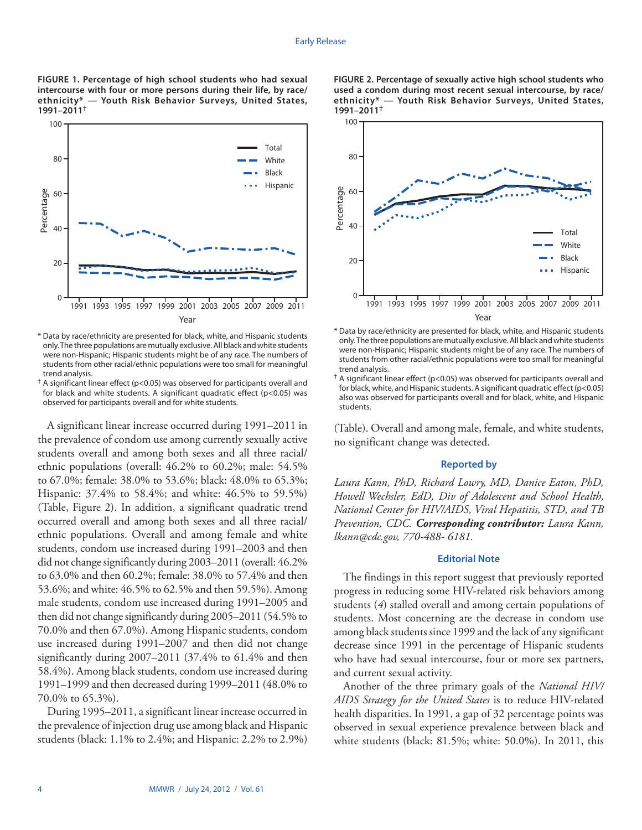**FIGURE 1. Percentage of high school students who had sexual intercourse with four or more persons during their life, by race/ ethnicity\* — Youth Risk Behavior Surveys, United States, 1991–2011†**



\* Data by race/ethnicity are presented for black, white, and Hispanic students only. The three populations are mutually exclusive. All black and white students were non-Hispanic; Hispanic students might be of any race. The numbers of students from other racial/ethnic populations were too small for meaningful trend analysis.

 $^{\dagger}$  A significant linear effect (p<0.05) was observed for participants overall and for black and white students. A significant quadratic effect (p<0.05) was observed for participants overall and for white students.

A significant linear increase occurred during 1991–2011 in the prevalence of condom use among currently sexually active students overall and among both sexes and all three racial/ ethnic populations (overall: 46.2% to 60.2%; male: 54.5% to 67.0%; female: 38.0% to 53.6%; black: 48.0% to 65.3%; Hispanic: 37.4% to 58.4%; and white: 46.5% to 59.5%) (Table, Figure 2). In addition, a significant quadratic trend occurred overall and among both sexes and all three racial/ ethnic populations. Overall and among female and white students, condom use increased during 1991–2003 and then did not change significantly during 2003–2011 (overall: 46.2% to 63.0% and then 60.2%; female: 38.0% to 57.4% and then 53.6%; and white: 46.5% to 62.5% and then 59.5%). Among male students, condom use increased during 1991–2005 and then did not change significantly during 2005–2011 (54.5% to 70.0% and then 67.0%). Among Hispanic students, condom use increased during 1991–2007 and then did not change significantly during 2007–2011 (37.4% to 61.4% and then 58.4%). Among black students, condom use increased during 1991–1999 and then decreased during 1999–2011 (48.0% to 70.0% to 65.3%).

During 1995–2011, a significant linear increase occurred in the prevalence of injection drug use among black and Hispanic students (black: 1.1% to 2.4%; and Hispanic: 2.2% to 2.9%)





\* Data by race/ethnicity are presented for black, white, and Hispanic students only. The three populations are mutually exclusive. All black and white students were non-Hispanic; Hispanic students might be of any race. The numbers of students from other racial/ethnic populations were too small for meaningful trend analysis.

 $\dagger$  A significant linear effect (p<0.05) was observed for participants overall and for black, white, and Hispanic students. A significant quadratic effect (p<0.05) also was observed for participants overall and for black, white, and Hispanic students.

(Table). Overall and among male, female, and white students, no significant change was detected.

## **Reported by**

*Laura Kann, PhD, Richard Lowry, MD, Danice Eaton, PhD, Howell Wechsler, EdD, Div of Adolescent and School Health, National Center for HIV/AIDS, Viral Hepatitis, STD, and TB Prevention, CDC. Corresponding contributor: Laura Kann, [lkann@cdc.gov,](mailto:lkann@cdc.gov) 770-488- 6181.*

## **Editorial Note**

The findings in this report suggest that previously reported progress in reducing some HIV-related risk behaviors among students (*4*) stalled overall and among certain populations of students. Most concerning are the decrease in condom use among black students since 1999 and the lack of any significant decrease since 1991 in the percentage of Hispanic students who have had sexual intercourse, four or more sex partners, and current sexual activity.

Another of the three primary goals of the *National HIV/ AIDS Strategy for the United States* is to reduce HIV-related health disparities. In 1991, a gap of 32 percentage points was observed in sexual experience prevalence between black and white students (black: 81.5%; white: 50.0%). In 2011, this